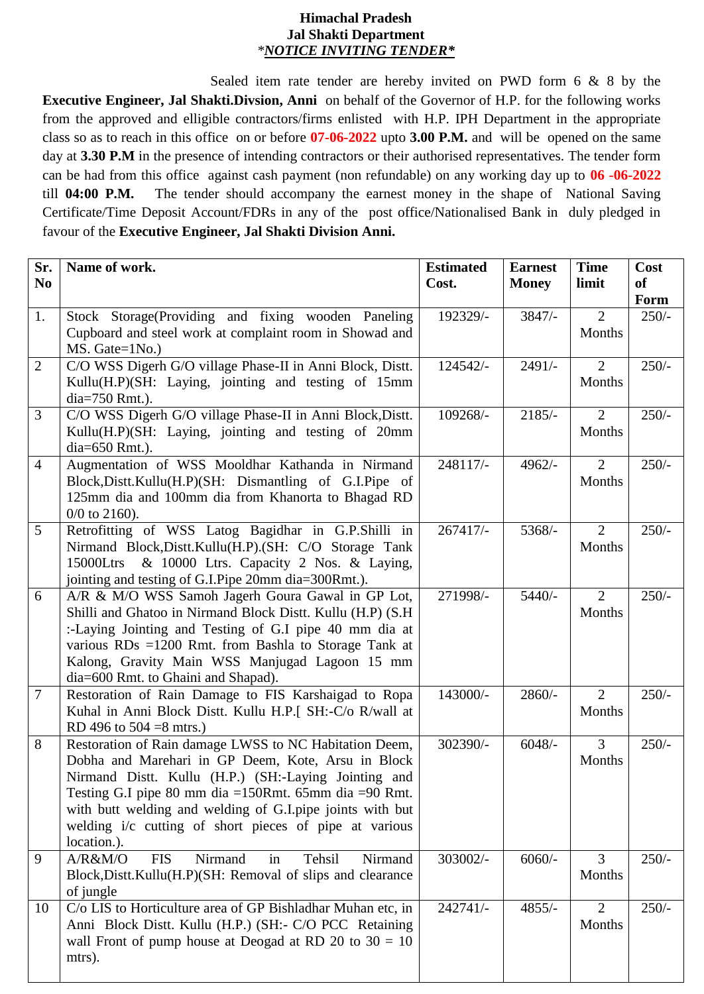## **Himachal Pradesh Jal Shakti Department** *\*NOTICE INVITING TENDER\**

Sealed item rate tender are hereby invited on PWD form 6 & 8 by the **Executive Engineer, Jal Shakti.Divsion, Anni** on behalf of the Governor of H.P. for the following works from the approved and elligible contractors/firms enlisted with H.P. IPH Department in the appropriate class so as to reach in this office on or before **07-06-2022** upto **3.00 P.M.** and will be opened on the same day at **3.30 P.M** in the presence of intending contractors or their authorised representatives. The tender form can be had from this office against cash payment (non refundable) on any working day up to **06 -06-2022** till **04:00 P.M.** The tender should accompany the earnest money in the shape of National Saving Certificate/Time Deposit Account/FDRs in any of the post office/Nationalised Bank in duly pledged in favour of the **Executive Engineer, Jal Shakti Division Anni.** 

| Sr.<br>N <sub>0</sub> | Name of work.                                                                                                                                                                                                                                                                                                                                                           | <b>Estimated</b><br>Cost. | <b>Earnest</b><br><b>Money</b> | <b>Time</b><br>limit     | Cost<br><b>of</b>      |
|-----------------------|-------------------------------------------------------------------------------------------------------------------------------------------------------------------------------------------------------------------------------------------------------------------------------------------------------------------------------------------------------------------------|---------------------------|--------------------------------|--------------------------|------------------------|
| 1.                    | Stock Storage(Providing and fixing wooden Paneling                                                                                                                                                                                                                                                                                                                      | 192329/-                  | $3847/-$                       | $\overline{2}$           | <b>Form</b><br>$250/-$ |
|                       | Cupboard and steel work at complaint room in Showad and<br>MS. Gate=1No.)                                                                                                                                                                                                                                                                                               |                           |                                | Months                   |                        |
| $\overline{2}$        | C/O WSS Digerh G/O village Phase-II in Anni Block, Distt.<br>Kullu(H.P)(SH: Laying, jointing and testing of 15mm<br>$dia=750$ Rmt.).                                                                                                                                                                                                                                    | 124542/-                  | $2491/-$                       | 2<br>Months              | $250/-$                |
| 3                     | C/O WSS Digerh G/O village Phase-II in Anni Block, Distt.<br>Kullu(H.P)(SH: Laying, jointing and testing of 20mm<br>dia=650 Rmt.).                                                                                                                                                                                                                                      | 109268/-                  | $2185/-$                       | $\overline{2}$<br>Months | $250/-$                |
| $\overline{4}$        | Augmentation of WSS Mooldhar Kathanda in Nirmand<br>Block, Distt. Kullu(H.P)(SH: Dismantling of G.I.Pipe of<br>125mm dia and 100mm dia from Khanorta to Bhagad RD<br>$0/0$ to 2160).                                                                                                                                                                                    | 248117/-                  | 4962/-                         | $\overline{2}$<br>Months | $250/-$                |
| 5                     | Retrofitting of WSS Latog Bagidhar in G.P.Shilli in<br>Nirmand Block, Distt. Kullu(H.P). (SH: C/O Storage Tank<br>& 10000 Ltrs. Capacity 2 Nos. & Laying,<br>15000Ltrs<br>jointing and testing of G.I.Pipe 20mm dia=300Rmt.).                                                                                                                                           | 267417/-                  | 5368/-                         | $\overline{2}$<br>Months | $250/-$                |
| 6                     | A/R & M/O WSS Samoh Jagerh Goura Gawal in GP Lot,<br>Shilli and Ghatoo in Nirmand Block Distt. Kullu (H.P) (S.H)<br>:-Laying Jointing and Testing of G.I pipe 40 mm dia at<br>various RDs =1200 Rmt. from Bashla to Storage Tank at<br>Kalong, Gravity Main WSS Manjugad Lagoon 15 mm<br>dia=600 Rmt. to Ghaini and Shapad).                                            | 271998/-                  | 5440/-                         | $\overline{2}$<br>Months | $250/-$                |
| $\overline{7}$        | Restoration of Rain Damage to FIS Karshaigad to Ropa<br>Kuhal in Anni Block Distt. Kullu H.P.[ SH:-C/o R/wall at<br>RD 496 to $504 = 8$ mtrs.)                                                                                                                                                                                                                          | 143000/-                  | $2860/-$                       | $\overline{2}$<br>Months | $250/-$                |
| 8                     | Restoration of Rain damage LWSS to NC Habitation Deem,<br>Dobha and Marehari in GP Deem, Kote, Arsu in Block<br>Nirmand Distt. Kullu (H.P.) (SH:-Laying Jointing and<br>Testing G.I pipe 80 mm dia = 150 Rmt. 65 mm dia = 90 Rmt.<br>with butt welding and welding of G.I.pipe joints with but<br>welding i/c cutting of short pieces of pipe at various<br>location.). | 302390/-                  | $6048/-$                       | $\overline{3}$<br>Months | $250/-$                |
| 9                     | Nirmand<br>$A/R$ &M/O<br><b>FIS</b><br>in<br>Tehsil<br>Nirmand<br>Block, Distt. Kullu(H.P)(SH: Removal of slips and clearance<br>of jungle                                                                                                                                                                                                                              | 303002/-                  | $6060/-$                       | 3<br>Months              | $250/-$                |
| 10                    | C/o LIS to Horticulture area of GP Bishladhar Muhan etc, in<br>Anni Block Distt. Kullu (H.P.) (SH:- C/O PCC Retaining<br>wall Front of pump house at Deogad at RD 20 to $30 = 10$<br>mtrs).                                                                                                                                                                             | 242741/-                  | $4855/-$                       | $\overline{2}$<br>Months | $250/-$                |